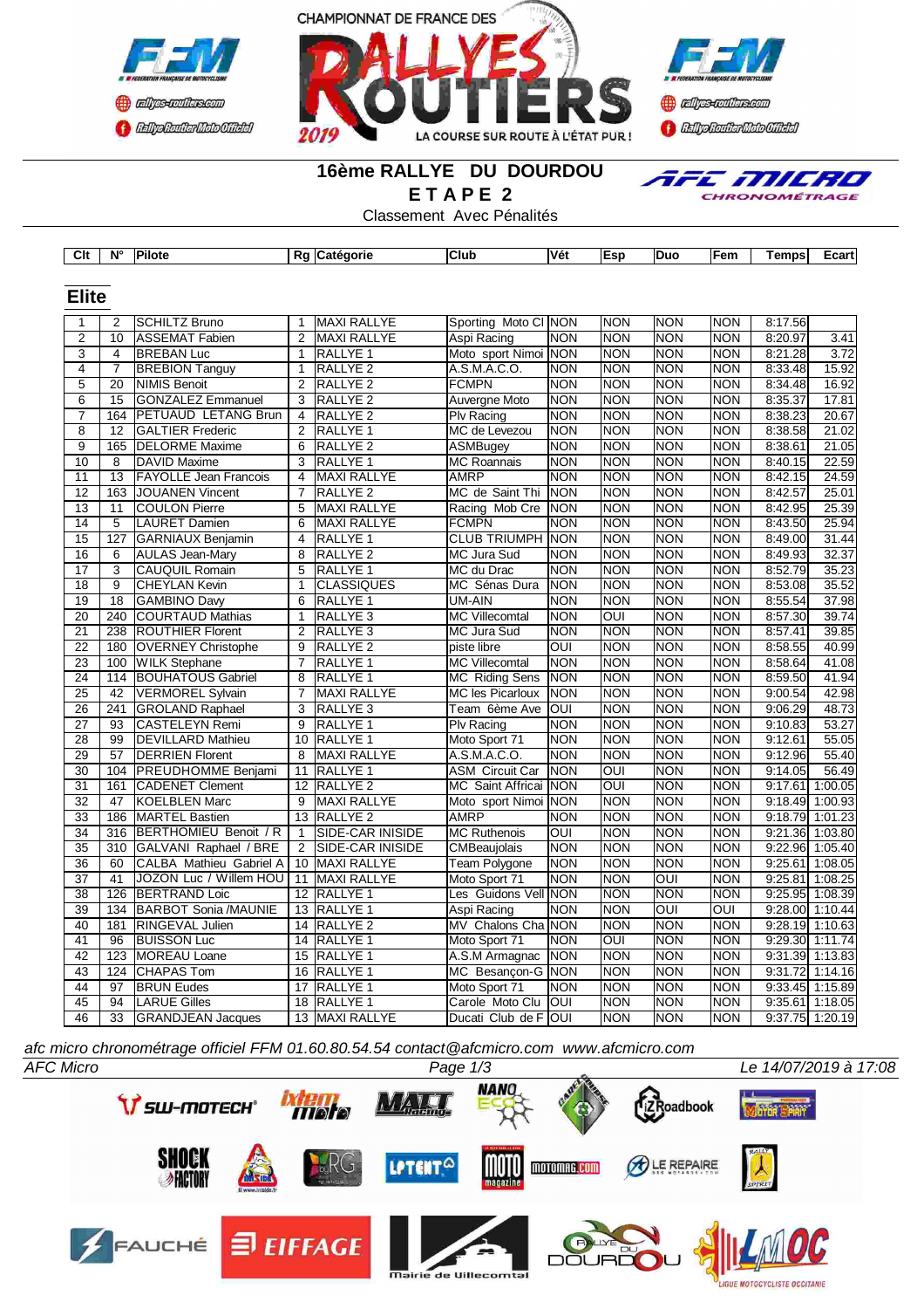



# **16ème RALLYE DU DOURDOU E T A P E 2**

Classement Avec Pénalités

**Clt N° Pilote Rg Catégorie Club Vét Esp Duo Fem Temps Ecart**





| $\mathbf{1}$    | $\overline{2}$   | <b>SCHILTZ Bruno</b>                                                                      | $\mathbf{1}$            | <b>MAXI RALLYE</b>  | Sporting Moto CI NON    |                  | <b>NON</b> | <b>NON</b>              | <b>NON</b> | 8:17.56           |       |
|-----------------|------------------|-------------------------------------------------------------------------------------------|-------------------------|---------------------|-------------------------|------------------|------------|-------------------------|------------|-------------------|-------|
| $\overline{2}$  | 10               | <b>ASSEMAT Fabien</b>                                                                     | $\overline{2}$          | <b>MAXI RALLYE</b>  | Aspi Racing             | <b>NON</b>       | <b>NON</b> | <b>NON</b>              | <b>NON</b> | 8:20.97           | 3.41  |
| 3               | 4                | <b>BREBAN Luc</b>                                                                         | $\mathbf{1}$            | RALLYE <sub>1</sub> | Moto sport Nimoi NON    |                  | <b>NON</b> | <b>NON</b>              | <b>NON</b> | 8:21.28           | 3.72  |
| $\overline{4}$  | $\overline{7}$   | <b>BREBION Tanguy</b>                                                                     | 1                       | RALLYE <sub>2</sub> | A.S.M.A.C.O.            | <b>NON</b>       | <b>NON</b> | NON                     | <b>NON</b> | 8:33.48           | 15.92 |
| $\overline{5}$  | $\overline{20}$  | <b>NIMIS Benoit</b>                                                                       | $\overline{2}$          | RALLYE <sub>2</sub> | <b>FCMPN</b>            | <b>NON</b>       | <b>NON</b> | NON                     | <b>NON</b> | 8:34.48           | 16.92 |
| $\overline{6}$  | $\overline{15}$  | <b>GONZALEZ Emmanuel</b>                                                                  | $\overline{3}$          | RALLYE <sub>2</sub> | Auvergne Moto           | <b>NON</b>       | <b>NON</b> | <b>NON</b>              | <b>NON</b> | 8:35.37           | 17.81 |
| $\overline{7}$  | 164              | PETUAUD LETANG Brun                                                                       | $\overline{4}$          | RALLYE <sub>2</sub> | Plv Racing              | <b>NON</b>       | <b>NON</b> | <b>NON</b>              | <b>NON</b> | 8:38.23           | 20.67 |
| $\overline{8}$  | 12               | <b>GALTIER Frederic</b>                                                                   | 2                       | RALLYE 1            | MC de Levezou           | <b>NON</b>       | <b>NON</b> | <b>NON</b>              | <b>NON</b> | 8:38.58           | 21.02 |
| $\overline{9}$  | 165              | <b>DELORME</b> Maxime                                                                     | 6                       | RALLYE <sub>2</sub> | <b>ASMBugey</b>         | <b>NON</b>       | <b>NON</b> | <b>NON</b>              | <b>NON</b> | 8:38.61           | 21.05 |
| 10              | 8                | DAVID Maxime                                                                              | 3                       | RALLYE <sub>1</sub> | <b>MC Roannais</b>      | <b>NON</b>       | <b>NON</b> | <b>NON</b>              | <b>NON</b> | 8:40.15           | 22.59 |
| 11              | 13               | <b>FAYOLLE Jean Francois</b>                                                              | 4                       | <b>MAXI RALLYE</b>  | <b>AMRP</b>             | <b>NON</b>       | <b>NON</b> | <b>NON</b>              | <b>NON</b> | 8:42.15           | 24.59 |
| $\overline{12}$ | 163              | JOUANEN Vincent                                                                           | $\overline{7}$          | RALLYE <sub>2</sub> | MC de Saint Thi         | <b>NON</b>       | <b>NON</b> | <b>NON</b>              | <b>NON</b> | 8:42.57           | 25.01 |
| $\overline{13}$ | 11               | <b>COULON Pierre</b>                                                                      | $\overline{5}$          | <b>MAXI RALLYE</b>  | Racing Mob Cre          | <b>NON</b>       | <b>NON</b> | <b>NON</b>              | <b>NON</b> | 8:42.95           | 25.39 |
| 14              | $\overline{5}$   | <b>LAURET Damien</b>                                                                      | $\overline{6}$          | <b>MAXI RALLYE</b>  | <b>FCMPN</b>            | <b>NON</b>       | <b>NON</b> | <b>NON</b>              | <b>NON</b> | 8:43.50           | 25.94 |
| $\overline{15}$ | $\overline{127}$ | GARNIAUX Benjamin                                                                         | $\overline{\mathbf{4}}$ | RALLYE <sub>1</sub> | <b>CLUB TRIUMPH NON</b> |                  | <b>NON</b> | <b>NON</b>              | <b>NON</b> | 8:49.00           | 31.44 |
| 16              | 6                | <b>AULAS Jean-Mary</b>                                                                    | 8                       | RALLYE <sub>2</sub> | MC Jura Sud             | <b>NON</b>       | <b>NON</b> | <b>NON</b>              | <b>NON</b> | 8:49.93           | 32.37 |
| $\overline{17}$ | $\overline{3}$   | <b>CAUQUIL Romain</b>                                                                     | $\overline{5}$          | RALLYE <sub>1</sub> | MC du Drac              | <b>NON</b>       | <b>NON</b> | NON                     | <b>NON</b> | 8:52.79           | 35.23 |
| 18              | 9                | <b>CHEYLAN Kevin</b>                                                                      | 1                       | <b>CLASSIQUES</b>   | MC Sénas Dura           | NON              | <b>NON</b> | NON                     | <b>NON</b> | 8:53.08           | 35.52 |
| $\overline{19}$ | $\overline{18}$  | <b>GAMBINO Davy</b>                                                                       | 6                       | <b>RALLYE 1</b>     | UM-AIN                  | <b>NON</b>       | <b>NON</b> | <b>NON</b>              | <b>NON</b> | 8:55.54           | 37.98 |
| 20              | 240              | COURTAUD Mathias                                                                          | 1                       | RALLYE <sub>3</sub> | MC Villecomtal          | <b>NON</b>       | OUI        | <b>NON</b>              | <b>NON</b> | 8:57.30           | 39.74 |
| 21              | 238              | <b>ROUTHIER Florent</b>                                                                   | $\overline{2}$          | RALLYE <sub>3</sub> | MC Jura Sud             | <b>NON</b>       | <b>NON</b> | <b>NON</b>              | <b>NON</b> | 8:57.41           | 39.85 |
| $\overline{22}$ | 180              | <b>OVERNEY Christophe</b>                                                                 | 9                       | RALLYE <sub>2</sub> | piste libre             | OUI              | <b>NON</b> | <b>NON</b>              | <b>NON</b> | 8:58.55           | 40.99 |
| 23              | 100              | <b>WILK Stephane</b>                                                                      | 7                       | RALLYE <sub>1</sub> | <b>MC Villecomtal</b>   | <b>NON</b>       | <b>NON</b> | <b>NON</b>              | <b>NON</b> | 8:58.64           | 41.08 |
| $\overline{24}$ |                  | 114 BOUHATOUS Gabriel                                                                     | $\overline{8}$          | RALLYE <sub>1</sub> | <b>MC Riding Sens</b>   | <b>NON</b>       | <b>NON</b> | <b>NON</b>              | <b>NON</b> | 8:59.50           | 41.94 |
| $\overline{25}$ | $\overline{42}$  | <b>VERMOREL Sylvain</b>                                                                   | $\overline{7}$          | <b>MAXI RALLYE</b>  | <b>MC les Picarloux</b> | <b>NON</b>       | <b>NON</b> | <b>NON</b>              | <b>NON</b> | 9:00.54           | 42.98 |
| 26              | 241              | <b>GROLAND Raphael</b>                                                                    | $\overline{3}$          | RALLYE <sub>3</sub> | Team 6ème Ave           | loui             | <b>NON</b> | <b>NON</b>              | <b>NON</b> | 9:06.29           | 48.73 |
| 27              | 93               | CASTELEYN Remi                                                                            | 9                       | RALLYE <sub>1</sub> | Plv Racing              | <b>NON</b>       | <b>NON</b> | <b>NON</b>              | <b>NON</b> | 9:10.83           | 53.27 |
| $\overline{28}$ | $\overline{99}$  | <b>DEVILLARD Mathieu</b>                                                                  |                         | 10 RALLYE 1         | Moto Sport 71           | <b>NON</b>       | <b>NON</b> | <b>NON</b>              | <b>NON</b> | 9:12.61           | 55.05 |
| 29              | 57               | <b>DERRIEN Florent</b>                                                                    | 8                       | <b>MAXI RALLYE</b>  | A.S.M.A.C.O.            | <b>NON</b>       | <b>NON</b> | <b>NON</b>              | <b>NON</b> | 9:12.96           | 55.40 |
| 30              | 104              | <b>PREUDHOMME Benjami</b>                                                                 | 11                      | RALLYE 1            | <b>ASM Circuit Car</b>  | <b>NON</b>       | OUI        | <b>NON</b>              | <b>NON</b> | 9:14.05           | 56.49 |
| $\overline{31}$ | 161              | <b>CADENET Clement</b>                                                                    |                         | 12 RALLYE 2         | MC Saint Affricai NON   |                  | ОUІ        | <b>NON</b>              | <b>NON</b> | 9:17.61 1:00.05   |       |
| 32              | 47               | <b>KOELBLEN Marc</b>                                                                      | 9                       | <b>MAXI RALLYE</b>  | Moto sport Nimoi NON    |                  | <b>NON</b> | <b>NON</b>              | <b>NON</b> | 9:18.49 1:00.93   |       |
| 33              | 186              | <b>MARTEL Bastien</b>                                                                     | 13                      | RALLYE <sub>2</sub> | <b>AMRP</b>             | <b>NON</b>       | <b>NON</b> | <b>NON</b>              | <b>NON</b> | 9:18.79 1:01.23   |       |
| $\overline{34}$ | 316              | BERTHOMIEU Benoit / R                                                                     | $\mathbf{1}$            | SIDE-CAR INISIDE    | <b>MC Ruthenois</b>     | $\overline{OUI}$ | <b>NON</b> | <b>NON</b>              | <b>NON</b> | 9:21.36 1:03.80   |       |
| $\overline{35}$ | 310              | GALVANI Raphael / BRE                                                                     | 2                       | SIDE-CAR INISIDE    | CMBeaujolais            | <b>NON</b>       | <b>NON</b> | <b>NON</b>              | <b>NON</b> | 9:22.96 1:05.40   |       |
| 36              | 60               | CALBA Mathieu Gabriel A                                                                   |                         | 10 MAXI RALLYE      | <b>Team Polygone</b>    | <b>NON</b>       | <b>NON</b> | NON                     | <b>NON</b> | $9:25.61$ 1:08.05 |       |
| 37              | 41               | JOZON Luc / Willem HOU                                                                    |                         | 11 MAXI RALLYE      | Moto Sport 71           | <b>NON</b>       | <b>NON</b> | OUI                     | <b>NON</b> | 9:25.81 1:08.25   |       |
| 38              | 126              | <b>BERTRAND Loic</b>                                                                      |                         | 12 RALLYE 1         | Les Guidons Vell NON    |                  | <b>NON</b> | <b>NON</b>              | <b>NON</b> | 9:25.95 1:08.39   |       |
| $\overline{39}$ | 134              | <b>BARBOT Sonia /MAUNIE</b>                                                               |                         | 13 RALLYE 1         | Aspi Racing             | <b>NON</b>       | <b>NON</b> | $\overline{\text{OUI}}$ | OUI        | 9:28.00 1:10.44   |       |
| 40              | 181              | RINGEVAL Julien                                                                           |                         | 14 RALLYE 2         | MV Chalons Cha NON      |                  | <b>NON</b> | NON                     | <b>NON</b> | 9:28.19 1:10.63   |       |
| 41              | 96               | <b>BUISSON Luc</b>                                                                        |                         | 14 RALLYE 1         | Moto Sport 71           | <b>NON</b>       | OUI        | <b>NON</b>              | <b>NON</b> | $9:29.30$ 1:11.74 |       |
| 42              | 123              | MOREAU Loane                                                                              | 15                      | RALLYE <sub>1</sub> | A.S.M Armagnac          | <b>NON</b>       | <b>NON</b> | <b>NON</b>              | <b>NON</b> | 9:31.39 1:13.83   |       |
| 43              | 124              | <b>CHAPAS Tom</b>                                                                         |                         | 16 RALLYE 1         | MC Besançon-G NON       |                  | <b>NON</b> | <b>NON</b>              | <b>NON</b> | $9:31.72$ 1:14.16 |       |
| 44              | $\overline{97}$  | <b>BRUN Eudes</b>                                                                         | $\overline{17}$         | <b>RALLYE 1</b>     | Moto Sport 71           | <b>NON</b>       | <b>NON</b> | <b>NON</b>              | <b>NON</b> | 9:33.45 1:15.89   |       |
| $\overline{45}$ | 94               | <b>LARUE Gilles</b>                                                                       | 18                      | RALLYE <sub>1</sub> | Carole Moto Clu         | <b>OUI</b>       | <b>NON</b> | <b>NON</b>              | <b>NON</b> | $9:35.61$ 1:18.05 |       |
| 46              | $\overline{33}$  | <b>GRANDJEAN Jacques</b>                                                                  |                         | 13 MAXI RALLYE      | Ducati Club de FOUI     |                  | <b>NON</b> | NON                     | <b>NON</b> | $9:37.75$ 1:20.19 |       |
|                 |                  | afc micro chronométrage officiel FFM 01.60.80.54.54 contact@afcmicro.com www.afcmicro.com |                         |                     |                         |                  |            |                         |            |                   |       |

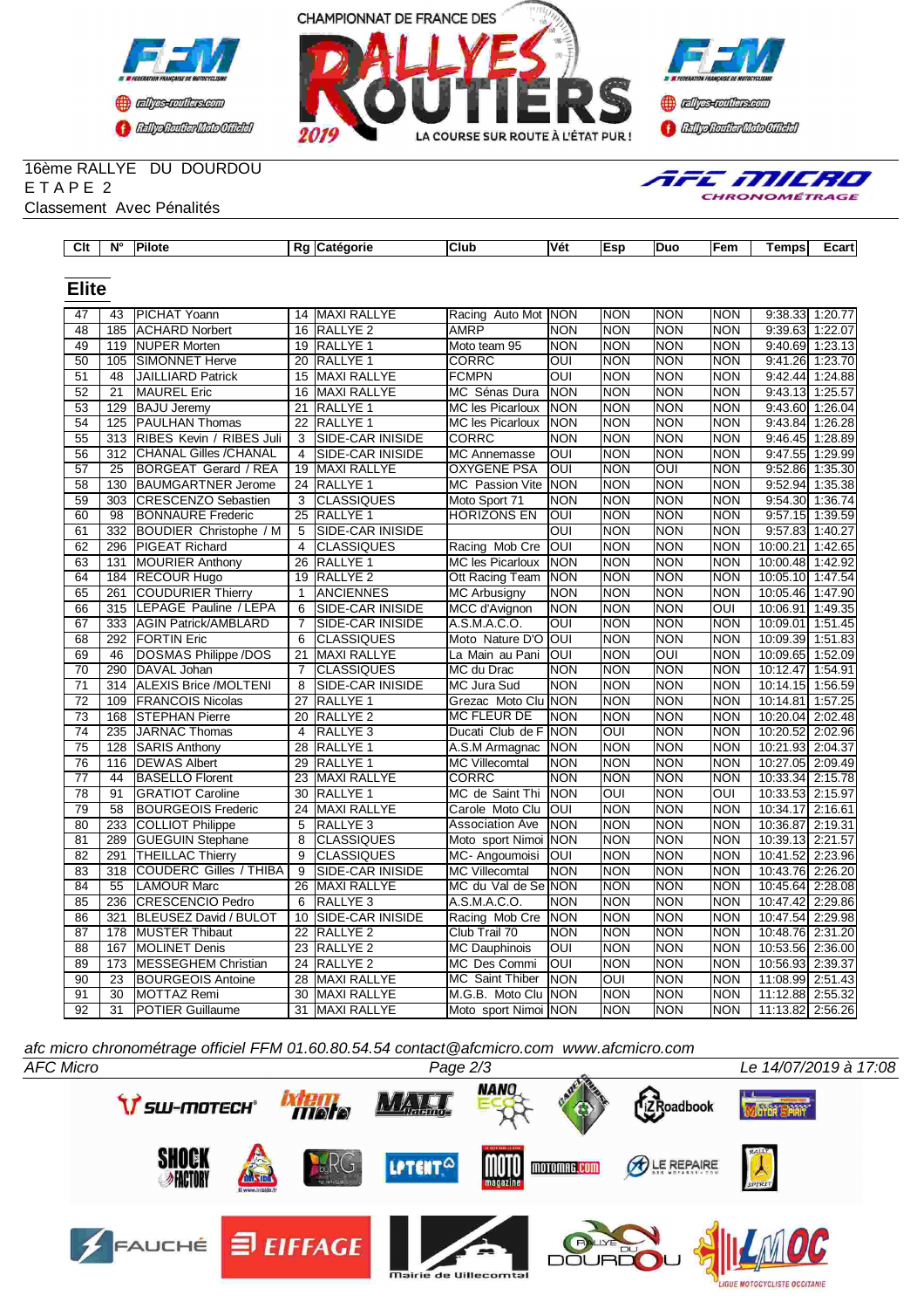





#### 16ème RALLYE DU DOURDOU E T A P E 2 Classement Avec Pénalités

| AFE MILRO |                      |  |  |
|-----------|----------------------|--|--|
|           | <b>CHRONOMÉTRAGE</b> |  |  |

| $\overline{C}$ It | $N^{\circ}$     | <b>Pilote</b>                 |                 | Rg Catégorie            | Club                    | Vét                     | Esp                     | <b>Duo</b>              | Fem            | Temps            | Ecart             |
|-------------------|-----------------|-------------------------------|-----------------|-------------------------|-------------------------|-------------------------|-------------------------|-------------------------|----------------|------------------|-------------------|
|                   |                 |                               |                 |                         |                         |                         |                         |                         |                |                  |                   |
| <b>Elite</b>      |                 |                               |                 |                         |                         |                         |                         |                         |                |                  |                   |
|                   |                 |                               |                 |                         |                         |                         |                         |                         |                |                  |                   |
| 47                | 43              | <b>PICHAT Yoann</b>           | 14              | <b>MAXI RALLYE</b>      | Racing Auto Mot NON     |                         | <b>NON</b>              | <b>NON</b>              | <b>NON</b>     | 9:38.33          | 1:20.77           |
| 48                | 185             | <b>ACHARD Norbert</b>         | 16              | <b>RALLYE 2</b>         | <b>AMRP</b>             | <b>NON</b>              | <b>NON</b>              | <b>NON</b>              | <b>NON</b>     | 9:39.63          | 1:22.07           |
| 49                | 119             | <b>NUPER Morten</b>           |                 | 19 RALLYE 1             | Moto team 95            | <b>NON</b>              | <b>NON</b>              | <b>NON</b>              | <b>NON</b>     | 9:40.69          | 1:23.13           |
| 50                | 105             | <b>SIMONNET Herve</b>         | $\overline{20}$ | <b>RALLYE 1</b>         | <b>CORRC</b>            | $\overline{\text{OUI}}$ | <b>NON</b>              | <b>NON</b>              | <b>NON</b>     | 9:41.26          | 1:23.70           |
| 51                | 48              | <b>JAILLIARD Patrick</b>      |                 | 15 MAXI RALLYE          | <b>FCMPN</b>            | <b>OUI</b>              | <b>NON</b>              | <b>NON</b>              | <b>NON</b>     | 9:42.44          | 1:24.88           |
| 52                | 21              | <b>MAUREL Eric</b>            | 16              | <b>MAXI RALLYE</b>      | MC Sénas Dura           | <b>NON</b>              | <b>NON</b>              | <b>NON</b>              | <b>NON</b>     | 9:43.13          | 1:25.57           |
| 53                | 129             | <b>BAJU Jeremy</b>            | 21              | <b>RALLYE 1</b>         | <b>MC les Picarloux</b> | <b>NON</b>              | <b>NON</b>              | <b>NON</b>              | <b>NON</b>     |                  | 9:43.60 1:26.04   |
| 54                | 125             | <b>PAULHAN Thomas</b>         | 22              | <b>RALLYE 1</b>         | <b>MC les Picarloux</b> | <b>NON</b>              | <b>NON</b>              | <b>NON</b>              | <b>NON</b>     | 9:43.84          | 1:26.28           |
| $\overline{55}$   | 313             | RIBES Kevin / RIBES Juli      | $\overline{3}$  | <b>SIDE-CAR INISIDE</b> | <b>CORRC</b>            | <b>NON</b>              | <b>NON</b>              | <b>NON</b>              | <b>NON</b>     |                  | 9:46.45 1:28.89   |
| $\overline{56}$   | 312             | <b>CHANAL Gilles /CHANAL</b>  | $\overline{4}$  | <b>SIDE-CAR INISIDE</b> | <b>MC Annemasse</b>     | l                       | <b>NON</b>              | <b>NON</b>              | <b>NON</b>     | 9:47.55          | 1:29.99           |
| 57                | 25              | BORGEAT Gerard / REA          |                 | 19 MAXI RALLYE          | <b>OXYGENE PSA</b>      | lon                     | <b>NON</b>              | OUI                     | <b>NON</b>     |                  | 9:52.86 1:35.30   |
| 58                | 130             | <b>BAUMGARTNER Jerome</b>     |                 | 24 RALLYE 1             | MC Passion Vite         | <b>INON</b>             | <b>NON</b>              | <b>NON</b>              | <b>NON</b>     |                  | $9:52.94$ 1:35.38 |
| 59                | 303             | <b>CRESCENZO Sebastien</b>    | 3               | <b>CLASSIQUES</b>       | Moto Sport 71           | <b>NON</b>              | <b>NON</b>              | <b>NON</b>              | <b>NON</b>     |                  | 9:54.30 1:36.74   |
| 60                | 98              | <b>BONNAURE Frederic</b>      | $\overline{25}$ | RALLYE <sub>1</sub>     | <b>HORIZONS EN</b>      | OUI                     | <b>NON</b>              | <b>NON</b>              | <b>NON</b>     |                  | 9:57.15 1:39.59   |
| 61                | 332             | BOUDIER Christophe / M        | $\overline{5}$  | SIDE-CAR INISIDE        |                         | $\overline{O}$          | <b>NON</b>              | <b>NON</b>              | <b>NON</b>     |                  | 9:57.83 1:40.27   |
| 62                | 296             | <b>PIGEAT Richard</b>         | $\overline{4}$  | <b>CLASSIQUES</b>       | Racing Mob Cre          | loui                    | <b>NON</b>              | <b>NON</b>              | <b>NON</b>     | 10:00.21 1:42.65 |                   |
| 63                | 131             | <b>MOURIER Anthony</b>        | 26              | RALLYE <sub>1</sub>     | <b>MC les Picarloux</b> | <b>NON</b>              | <b>NON</b>              | <b>NON</b>              | <b>NON</b>     | 10:00.48 1:42.92 |                   |
| 64                | 184             | <b>RECOUR Hugo</b>            |                 | 19 RALLYE 2             | Ott Racing Team         | <b>NON</b>              | <b>NON</b>              | <b>NON</b>              | <b>NON</b>     | 10:05.10 1:47.54 |                   |
| 65                | 261             | <b>COUDURIER Thierry</b>      | $\mathbf{1}$    | <b>ANCIENNES</b>        | <b>MC Arbusigny</b>     | <b>NON</b>              | <b>NON</b>              | <b>NON</b>              | <b>NON</b>     | 10:05.46         | 1:47.90           |
| 66                | 315             | LEPAGE Pauline / LEPA         | 6               | <b>SIDE-CAR INISIDE</b> | MCC d'Avignon           | <b>NON</b>              | <b>NON</b>              | <b>NON</b>              | $\overline{O}$ | 10:06.91         | 1:49.35           |
| 67                | 333             | <b>AGIN Patrick/AMBLARD</b>   | $\overline{7}$  | SIDE-CAR INISIDE        | A.S.M.A.C.O.            | OUI                     | <b>NON</b>              | <b>NON</b>              | <b>NON</b>     | 10:09.01         | 1:51.45           |
| 68                | 292             | <b>FORTIN Eric</b>            | 6               | <b>CLASSIQUES</b>       | Moto Nature D'O         | loui                    | <b>NON</b>              | <b>NON</b>              | <b>NON</b>     | 10:09.39         | 1:51.83           |
| 69                | 46              | DOSMAS Philippe /DOS          | 21              | <b>MAXI RALLYE</b>      | La Main au Pani         | IOUI                    | <b>NON</b>              | $\overline{\text{OUI}}$ | <b>NON</b>     | 10:09.65         | 1:52.09           |
| 70                | 290             | DAVAL Johan                   | $\overline{7}$  | <b>CLASSIQUES</b>       | MC du Drac              | <b>NON</b>              | <b>NON</b>              | <b>NON</b>              | <b>NON</b>     | 10:12.47         | 1:54.91           |
| 71                | 314             | <b>ALEXIS Brice /MOLTENI</b>  | 8               | SIDE-CAR INISIDE        | MC Jura Sud             | <b>NON</b>              | <b>NON</b>              | <b>NON</b>              | <b>NON</b>     | 10:14.15         | 1:56.59           |
| 72                | 109             | <b>FRANCOIS Nicolas</b>       | 27              | RALLYE <sub>1</sub>     | Grezac Moto Clu NON     |                         | <b>NON</b>              | <b>NON</b>              | <b>NON</b>     | 10:14.81         | 1:57.25           |
| 73                | 168             | <b>STEPHAN Pierre</b>         | 20              | RALLYE <sub>2</sub>     | <b>MC FLEUR DE</b>      | <b>NON</b>              | <b>NON</b>              | <b>NON</b>              | <b>NON</b>     | 10:20.04 2:02.48 |                   |
| $\overline{74}$   | 235             | <b>JARNAC Thomas</b>          | $\overline{4}$  | RALLYE <sub>3</sub>     | Ducati Club de F        | <b>NON</b>              | $\overline{\text{OUI}}$ | <b>NON</b>              | <b>NON</b>     | 10:20.52 2:02.96 |                   |
| 75                | 128             | <b>SARIS Anthony</b>          | 28              | RALLYE <sub>1</sub>     | A.S.M Armagnac          | <b>NON</b>              | <b>NON</b>              | <b>NON</b>              | <b>NON</b>     | 10:21.93 2:04.37 |                   |
| 76                | 116             | <b>DEWAS Albert</b>           | 29              | RALLYE <sub>1</sub>     | <b>MC Villecomtal</b>   | <b>NON</b>              | <b>NON</b>              | <b>NON</b>              | <b>NON</b>     | 10:27.05 2:09.49 |                   |
| $\overline{77}$   | $\overline{44}$ | <b>BASELLO Florent</b>        |                 | 23 MAXI RALLYE          | <b>CORRC</b>            | NON                     | <b>NON</b>              | <b>NON</b>              | <b>NON</b>     | 10:33.34 2:15.78 |                   |
| 78                | 91              | <b>GRATIOT Caroline</b>       | 30              | <b>RALLYE 1</b>         | MC de Saint Thi         | <b>NON</b>              | OUI                     | <b>NON</b>              | <b>OUI</b>     | 10:33.53 2:15.97 |                   |
| 79                | 58              | <b>BOURGEOIS Frederic</b>     |                 | 24 MAXI RALLYE          | Carole Moto Clu         | <b>OUI</b>              | <b>NON</b>              | <b>NON</b>              | <b>NON</b>     | 10:34.17 2:16.61 |                   |
| 80                | 233             | <b>COLLIOT Philippe</b>       | $\overline{5}$  | RALLYE <sub>3</sub>     | Association Ave         | NON                     | <b>NON</b>              | <b>NON</b>              | <b>NON</b>     | 10:36.87         | 2:19.31           |
| 81                | 289             | <b>GUEGUIN Stephane</b>       | 8               | <b>CLASSIQUES</b>       | Moto sport Nimoi        | <b>NON</b>              | <b>NON</b>              | <b>NON</b>              | <b>NON</b>     | 10:39.13 2:21.57 |                   |
| 82                | 291             | <b>THEILLAC Thierry</b>       | 9               | <b>CLASSIQUES</b>       | MC-Angoumoisi           | IOUI                    | <b>NON</b>              | <b>NON</b>              | <b>NON</b>     | 10:41.52         | 2:23.96           |
| 83                | 318             | <b>COUDERC Gilles / THIBA</b> | 9               | SIDE-CAR INISIDE        | <b>MC Villecomtal</b>   | <b>NON</b>              | <b>NON</b>              | <b>NON</b>              | <b>NON</b>     | 10:43.76 2:26.20 |                   |
| 84                | 55              | <b>LAMOUR Marc</b>            | 26              | <b>MAXI RALLYE</b>      | MC du Val de Se NON     |                         | <b>NON</b>              | <b>NON</b>              | <b>NON</b>     | 10:45.64         | 2:28.08           |
| 85                | 236             | <b>CRESCENCIO Pedro</b>       | 6               | RALLYE <sub>3</sub>     | A.S.M.A.C.O.            | <b>NON</b>              | <b>NON</b>              | <b>NON</b>              | <b>NON</b>     | 10:47.42 2:29.86 |                   |
| 86                | 321             | BLEUSEZ David / BULOT         | 10              | <b>SIDE-CAR INISIDE</b> | Racing Mob Cre          | <b>NON</b>              | <b>NON</b>              | <b>NON</b>              | <b>NON</b>     | 10:47.54 2:29.98 |                   |
| 87                | 178             | <b>MUSTER Thibaut</b>         | 22              | RALLYE <sub>2</sub>     | Club Trail 70           | <b>NON</b>              | <b>NON</b>              | <b>NON</b>              | <b>NON</b>     | 10:48.76 2:31.20 |                   |
| 88                | 167             | <b>MOLINET Denis</b>          |                 | 23 RALLYE 2             | <b>MC Dauphinois</b>    | <b>OUI</b>              | <b>NON</b>              | <b>NON</b>              | <b>NON</b>     | 10:53.56 2:36.00 |                   |
| 89                | 173             | MESSEGHEM Christian           |                 | 24 RALLYE 2             | MC Des Commi            | <b>OUI</b>              | <b>NON</b>              | <b>NON</b>              | <b>NON</b>     | 10:56.93 2:39.37 |                   |
| 90                | 23              | <b>BOURGEOIS Antoine</b>      |                 | 28 MAXI RALLYE          | MC Saint Thiber         | <b>NON</b>              | OUI                     | <b>NON</b>              | <b>NON</b>     | 11:08.99 2:51.43 |                   |
| 91                | 30              | MOTTAZ Remi                   | 30              | <b>MAXI RALLYE</b>      | M.G.B. Moto Clu NON     |                         | <b>NON</b>              | <b>NON</b>              | <b>NON</b>     | 11:12.88 2:55.32 |                   |
| $\overline{92}$   | $\overline{31}$ | <b>POTIER Guillaume</b>       |                 | 31 MAXI RALLYE          | Moto sport Nimoi NON    |                         | <b>NON</b>              | <b>NON</b>              | <b>NON</b>     | 11:13.82 2:56.26 |                   |

*afc micro chronométrage officiel FFM 01.60.80.54.54 contact@afcmicro.com www.afcmicro.com*